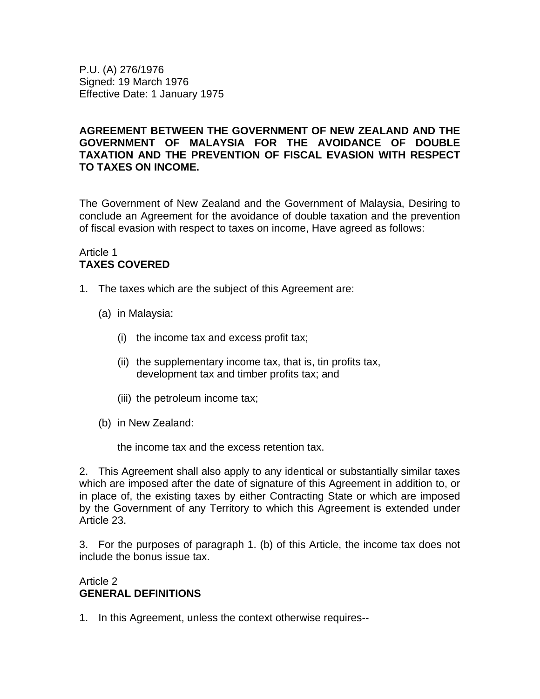P.U. (A) 276/1976 Signed: 19 March 1976 Effective Date: 1 January 1975

# **AGREEMENT BETWEEN THE GOVERNMENT OF NEW ZEALAND AND THE GOVERNMENT OF MALAYSIA FOR THE AVOIDANCE OF DOUBLE TAXATION AND THE PREVENTION OF FISCAL EVASION WITH RESPECT TO TAXES ON INCOME.**

The Government of New Zealand and the Government of Malaysia, Desiring to conclude an Agreement for the avoidance of double taxation and the prevention of fiscal evasion with respect to taxes on income, Have agreed as follows:

# Article 1 **TAXES COVERED**

- 1. The taxes which are the subject of this Agreement are:
	- (a) in Malaysia:
		- (i) the income tax and excess profit tax;
		- (ii) the supplementary income tax, that is, tin profits tax, development tax and timber profits tax; and
		- (iii) the petroleum income tax;
	- (b) in New Zealand:

the income tax and the excess retention tax.

2. This Agreement shall also apply to any identical or substantially similar taxes which are imposed after the date of signature of this Agreement in addition to, or in place of, the existing taxes by either Contracting State or which are imposed by the Government of any Territory to which this Agreement is extended under Article 23.

3. For the purposes of paragraph 1. (b) of this Article, the income tax does not include the bonus issue tax.

# Article 2 **GENERAL DEFINITIONS**

1. In this Agreement, unless the context otherwise requires--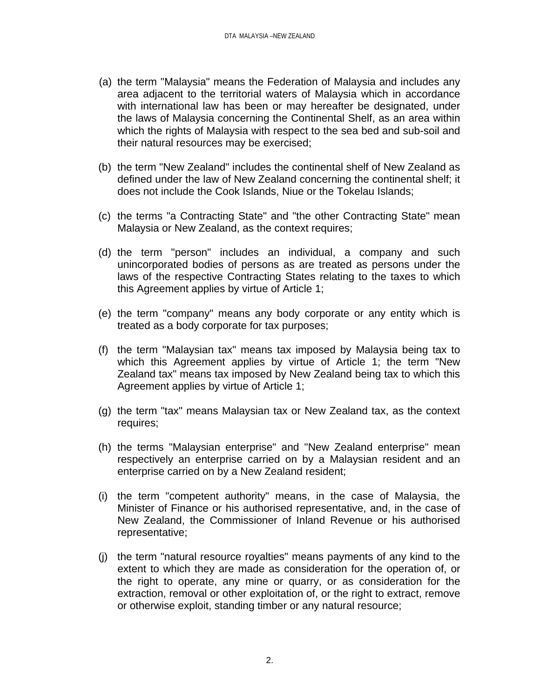- (a) the term "Malaysia" means the Federation of Malaysia and includes any area adjacent to the territorial waters of Malaysia which in accordance with international law has been or may hereafter be designated, under the laws of Malaysia concerning the Continental Shelf, as an area within which the rights of Malaysia with respect to the sea bed and sub-soil and their natural resources may be exercised;
- (b) the term "New Zealand" includes the continental shelf of New Zealand as defined under the law of New Zealand concerning the continental shelf; it does not include the Cook Islands, Niue or the Tokelau Islands;
- (c) the terms "a Contracting State" and "the other Contracting State" mean Malaysia or New Zealand, as the context requires;
- (d) the term "person" includes an individual, a company and such unincorporated bodies of persons as are treated as persons under the laws of the respective Contracting States relating to the taxes to which this Agreement applies by virtue of Article 1;
- (e) the term "company" means any body corporate or any entity which is treated as a body corporate for tax purposes;
- (f) the term "Malaysian tax" means tax imposed by Malaysia being tax to which this Agreement applies by virtue of Article 1; the term "New Zealand tax" means tax imposed by New Zealand being tax to which this Agreement applies by virtue of Article 1;
- (g) the term "tax" means Malaysian tax or New Zealand tax, as the context requires;
- (h) the terms "Malaysian enterprise" and "New Zealand enterprise" mean respectively an enterprise carried on by a Malaysian resident and an enterprise carried on by a New Zealand resident;
- (i) the term "competent authority" means, in the case of Malaysia, the Minister of Finance or his authorised representative, and, in the case of New Zealand, the Commissioner of Inland Revenue or his authorised representative;
- (j) the term "natural resource royalties" means payments of any kind to the extent to which they are made as consideration for the operation of, or the right to operate, any mine or quarry, or as consideration for the extraction, removal or other exploitation of, or the right to extract, remove or otherwise exploit, standing timber or any natural resource;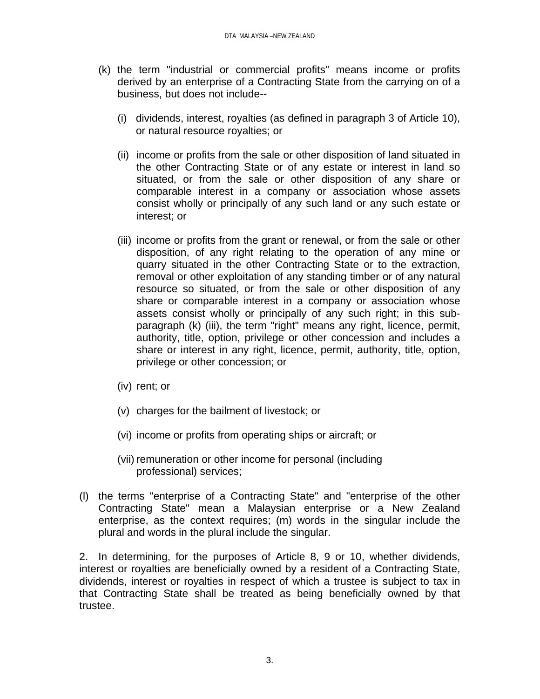- (k) the term "industrial or commercial profits" means income or profits derived by an enterprise of a Contracting State from the carrying on of a business, but does not include--
	- (i) dividends, interest, royalties (as defined in paragraph 3 of Article 10), or natural resource royalties; or
	- (ii) income or profits from the sale or other disposition of land situated in the other Contracting State or of any estate or interest in land so situated, or from the sale or other disposition of any share or comparable interest in a company or association whose assets consist wholly or principally of any such land or any such estate or interest; or
	- (iii) income or profits from the grant or renewal, or from the sale or other disposition, of any right relating to the operation of any mine or quarry situated in the other Contracting State or to the extraction, removal or other exploitation of any standing timber or of any natural resource so situated, or from the sale or other disposition of any share or comparable interest in a company or association whose assets consist wholly or principally of any such right; in this subparagraph (k) (iii), the term "right" means any right, licence, permit, authority, title, option, privilege or other concession and includes a share or interest in any right, licence, permit, authority, title, option, privilege or other concession; or
	- (iv) rent; or
	- (v) charges for the bailment of livestock; or
	- (vi) income or profits from operating ships or aircraft; or
	- (vii) remuneration or other income for personal (including professional) services;
- (l) the terms "enterprise of a Contracting State" and "enterprise of the other Contracting State" mean a Malaysian enterprise or a New Zealand enterprise, as the context requires; (m) words in the singular include the plural and words in the plural include the singular.

2. In determining, for the purposes of Article 8, 9 or 10, whether dividends, interest or royalties are beneficially owned by a resident of a Contracting State, dividends, interest or royalties in respect of which a trustee is subject to tax in that Contracting State shall be treated as being beneficially owned by that trustee.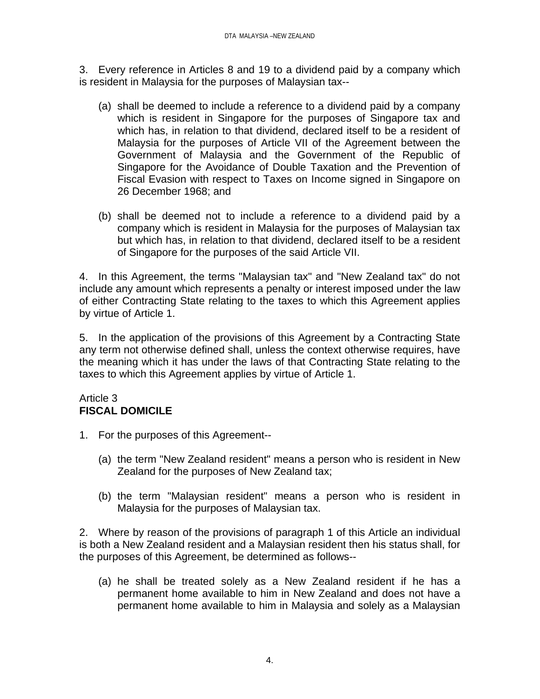3. Every reference in Articles 8 and 19 to a dividend paid by a company which is resident in Malaysia for the purposes of Malaysian tax--

- (a) shall be deemed to include a reference to a dividend paid by a company which is resident in Singapore for the purposes of Singapore tax and which has, in relation to that dividend, declared itself to be a resident of Malaysia for the purposes of Article VII of the Agreement between the Government of Malaysia and the Government of the Republic of Singapore for the Avoidance of Double Taxation and the Prevention of Fiscal Evasion with respect to Taxes on Income signed in Singapore on 26 December 1968; and
- (b) shall be deemed not to include a reference to a dividend paid by a company which is resident in Malaysia for the purposes of Malaysian tax but which has, in relation to that dividend, declared itself to be a resident of Singapore for the purposes of the said Article VII.

4. In this Agreement, the terms "Malaysian tax" and "New Zealand tax" do not include any amount which represents a penalty or interest imposed under the law of either Contracting State relating to the taxes to which this Agreement applies by virtue of Article 1.

5. In the application of the provisions of this Agreement by a Contracting State any term not otherwise defined shall, unless the context otherwise requires, have the meaning which it has under the laws of that Contracting State relating to the taxes to which this Agreement applies by virtue of Article 1.

#### Article 3 **FISCAL DOMICILE**

- 1. For the purposes of this Agreement--
	- (a) the term "New Zealand resident" means a person who is resident in New Zealand for the purposes of New Zealand tax;
	- (b) the term "Malaysian resident" means a person who is resident in Malaysia for the purposes of Malaysian tax.

2. Where by reason of the provisions of paragraph 1 of this Article an individual is both a New Zealand resident and a Malaysian resident then his status shall, for the purposes of this Agreement, be determined as follows--

(a) he shall be treated solely as a New Zealand resident if he has a permanent home available to him in New Zealand and does not have a permanent home available to him in Malaysia and solely as a Malaysian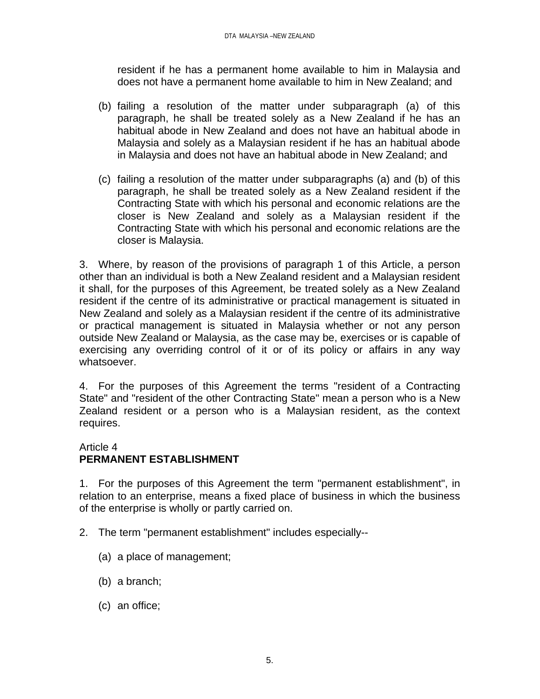resident if he has a permanent home available to him in Malaysia and does not have a permanent home available to him in New Zealand; and

- (b) failing a resolution of the matter under subparagraph (a) of this paragraph, he shall be treated solely as a New Zealand if he has an habitual abode in New Zealand and does not have an habitual abode in Malaysia and solely as a Malaysian resident if he has an habitual abode in Malaysia and does not have an habitual abode in New Zealand; and
- (c) failing a resolution of the matter under subparagraphs (a) and (b) of this paragraph, he shall be treated solely as a New Zealand resident if the Contracting State with which his personal and economic relations are the closer is New Zealand and solely as a Malaysian resident if the Contracting State with which his personal and economic relations are the closer is Malaysia.

3. Where, by reason of the provisions of paragraph 1 of this Article, a person other than an individual is both a New Zealand resident and a Malaysian resident it shall, for the purposes of this Agreement, be treated solely as a New Zealand resident if the centre of its administrative or practical management is situated in New Zealand and solely as a Malaysian resident if the centre of its administrative or practical management is situated in Malaysia whether or not any person outside New Zealand or Malaysia, as the case may be, exercises or is capable of exercising any overriding control of it or of its policy or affairs in any way whatsoever.

4. For the purposes of this Agreement the terms "resident of a Contracting State" and "resident of the other Contracting State" mean a person who is a New Zealand resident or a person who is a Malaysian resident, as the context requires.

#### Article 4

# **PERMANENT ESTABLISHMENT**

1. For the purposes of this Agreement the term "permanent establishment", in relation to an enterprise, means a fixed place of business in which the business of the enterprise is wholly or partly carried on.

- 2. The term "permanent establishment" includes especially--
	- (a) a place of management;
	- (b) a branch;
	- (c) an office;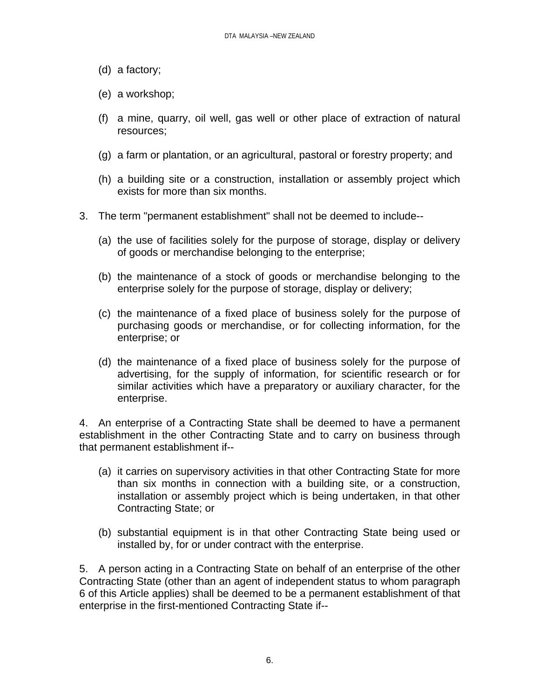- (d) a factory;
- (e) a workshop;
- (f) a mine, quarry, oil well, gas well or other place of extraction of natural resources;
- (g) a farm or plantation, or an agricultural, pastoral or forestry property; and
- (h) a building site or a construction, installation or assembly project which exists for more than six months.
- 3. The term "permanent establishment" shall not be deemed to include--
	- (a) the use of facilities solely for the purpose of storage, display or delivery of goods or merchandise belonging to the enterprise;
	- (b) the maintenance of a stock of goods or merchandise belonging to the enterprise solely for the purpose of storage, display or delivery;
	- (c) the maintenance of a fixed place of business solely for the purpose of purchasing goods or merchandise, or for collecting information, for the enterprise; or
	- (d) the maintenance of a fixed place of business solely for the purpose of advertising, for the supply of information, for scientific research or for similar activities which have a preparatory or auxiliary character, for the enterprise.

4. An enterprise of a Contracting State shall be deemed to have a permanent establishment in the other Contracting State and to carry on business through that permanent establishment if--

- (a) it carries on supervisory activities in that other Contracting State for more than six months in connection with a building site, or a construction, installation or assembly project which is being undertaken, in that other Contracting State; or
- (b) substantial equipment is in that other Contracting State being used or installed by, for or under contract with the enterprise.

5. A person acting in a Contracting State on behalf of an enterprise of the other Contracting State (other than an agent of independent status to whom paragraph 6 of this Article applies) shall be deemed to be a permanent establishment of that enterprise in the first-mentioned Contracting State if--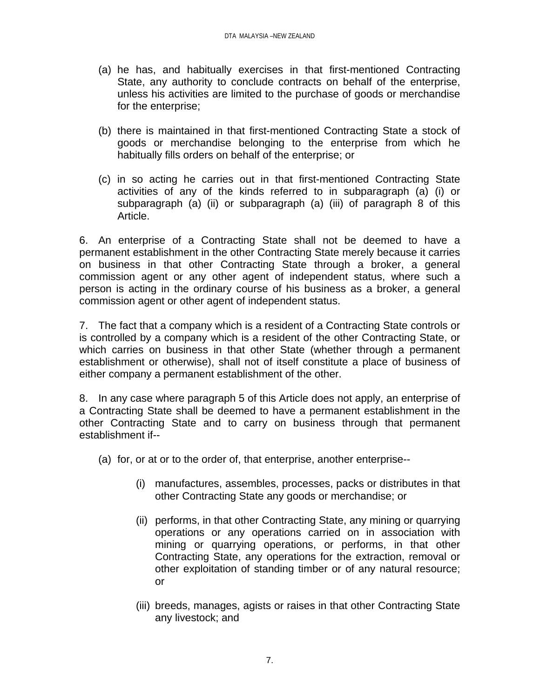- (a) he has, and habitually exercises in that first-mentioned Contracting State, any authority to conclude contracts on behalf of the enterprise, unless his activities are limited to the purchase of goods or merchandise for the enterprise;
- (b) there is maintained in that first-mentioned Contracting State a stock of goods or merchandise belonging to the enterprise from which he habitually fills orders on behalf of the enterprise; or
- (c) in so acting he carries out in that first-mentioned Contracting State activities of any of the kinds referred to in subparagraph (a) (i) or subparagraph (a) (ii) or subparagraph (a) (iii) of paragraph 8 of this Article.

6. An enterprise of a Contracting State shall not be deemed to have a permanent establishment in the other Contracting State merely because it carries on business in that other Contracting State through a broker, a general commission agent or any other agent of independent status, where such a person is acting in the ordinary course of his business as a broker, a general commission agent or other agent of independent status.

7. The fact that a company which is a resident of a Contracting State controls or is controlled by a company which is a resident of the other Contracting State, or which carries on business in that other State (whether through a permanent establishment or otherwise), shall not of itself constitute a place of business of either company a permanent establishment of the other.

8. In any case where paragraph 5 of this Article does not apply, an enterprise of a Contracting State shall be deemed to have a permanent establishment in the other Contracting State and to carry on business through that permanent establishment if--

- (a) for, or at or to the order of, that enterprise, another enterprise--
	- (i) manufactures, assembles, processes, packs or distributes in that other Contracting State any goods or merchandise; or
	- (ii) performs, in that other Contracting State, any mining or quarrying operations or any operations carried on in association with mining or quarrying operations, or performs, in that other Contracting State, any operations for the extraction, removal or other exploitation of standing timber or of any natural resource; or
	- (iii) breeds, manages, agists or raises in that other Contracting State any livestock; and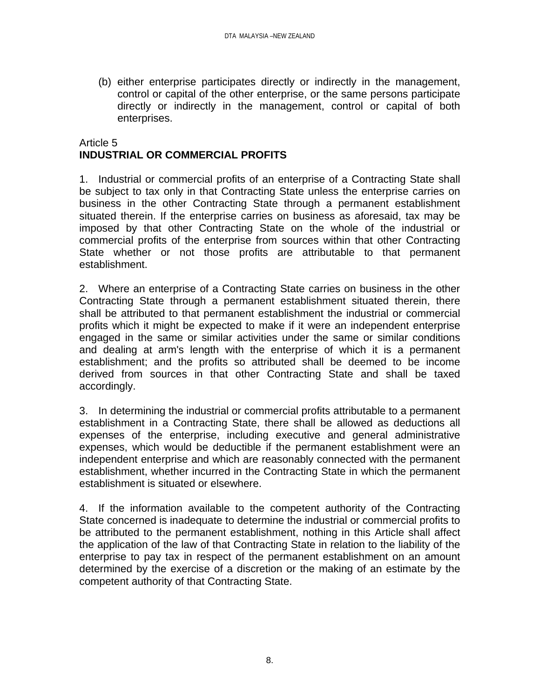(b) either enterprise participates directly or indirectly in the management, control or capital of the other enterprise, or the same persons participate directly or indirectly in the management, control or capital of both enterprises.

# Article 5 **INDUSTRIAL OR COMMERCIAL PROFITS**

1. Industrial or commercial profits of an enterprise of a Contracting State shall be subject to tax only in that Contracting State unless the enterprise carries on business in the other Contracting State through a permanent establishment situated therein. If the enterprise carries on business as aforesaid, tax may be imposed by that other Contracting State on the whole of the industrial or commercial profits of the enterprise from sources within that other Contracting State whether or not those profits are attributable to that permanent establishment.

2. Where an enterprise of a Contracting State carries on business in the other Contracting State through a permanent establishment situated therein, there shall be attributed to that permanent establishment the industrial or commercial profits which it might be expected to make if it were an independent enterprise engaged in the same or similar activities under the same or similar conditions and dealing at arm's length with the enterprise of which it is a permanent establishment; and the profits so attributed shall be deemed to be income derived from sources in that other Contracting State and shall be taxed accordingly.

3. In determining the industrial or commercial profits attributable to a permanent establishment in a Contracting State, there shall be allowed as deductions all expenses of the enterprise, including executive and general administrative expenses, which would be deductible if the permanent establishment were an independent enterprise and which are reasonably connected with the permanent establishment, whether incurred in the Contracting State in which the permanent establishment is situated or elsewhere.

4. If the information available to the competent authority of the Contracting State concerned is inadequate to determine the industrial or commercial profits to be attributed to the permanent establishment, nothing in this Article shall affect the application of the law of that Contracting State in relation to the liability of the enterprise to pay tax in respect of the permanent establishment on an amount determined by the exercise of a discretion or the making of an estimate by the competent authority of that Contracting State.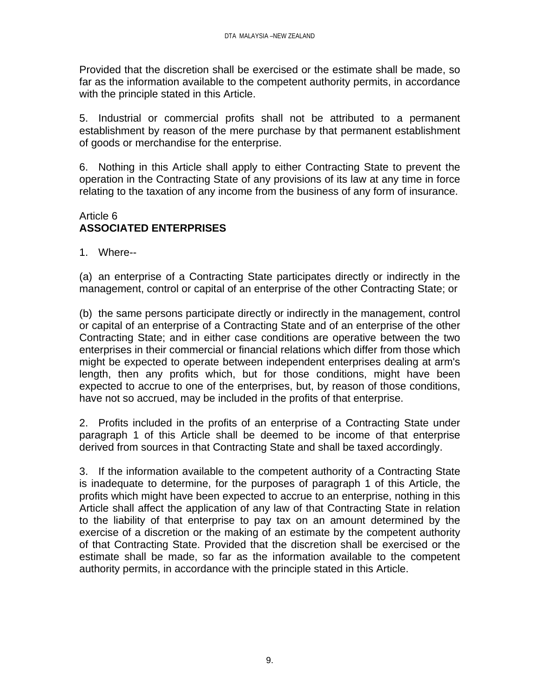Provided that the discretion shall be exercised or the estimate shall be made, so far as the information available to the competent authority permits, in accordance with the principle stated in this Article.

5. Industrial or commercial profits shall not be attributed to a permanent establishment by reason of the mere purchase by that permanent establishment of goods or merchandise for the enterprise.

6. Nothing in this Article shall apply to either Contracting State to prevent the operation in the Contracting State of any provisions of its law at any time in force relating to the taxation of any income from the business of any form of insurance.

# Article 6 **ASSOCIATED ENTERPRISES**

1. Where--

(a) an enterprise of a Contracting State participates directly or indirectly in the management, control or capital of an enterprise of the other Contracting State; or

(b) the same persons participate directly or indirectly in the management, control or capital of an enterprise of a Contracting State and of an enterprise of the other Contracting State; and in either case conditions are operative between the two enterprises in their commercial or financial relations which differ from those which might be expected to operate between independent enterprises dealing at arm's length, then any profits which, but for those conditions, might have been expected to accrue to one of the enterprises, but, by reason of those conditions, have not so accrued, may be included in the profits of that enterprise.

2. Profits included in the profits of an enterprise of a Contracting State under paragraph 1 of this Article shall be deemed to be income of that enterprise derived from sources in that Contracting State and shall be taxed accordingly.

3. If the information available to the competent authority of a Contracting State is inadequate to determine, for the purposes of paragraph 1 of this Article, the profits which might have been expected to accrue to an enterprise, nothing in this Article shall affect the application of any law of that Contracting State in relation to the liability of that enterprise to pay tax on an amount determined by the exercise of a discretion or the making of an estimate by the competent authority of that Contracting State. Provided that the discretion shall be exercised or the estimate shall be made, so far as the information available to the competent authority permits, in accordance with the principle stated in this Article.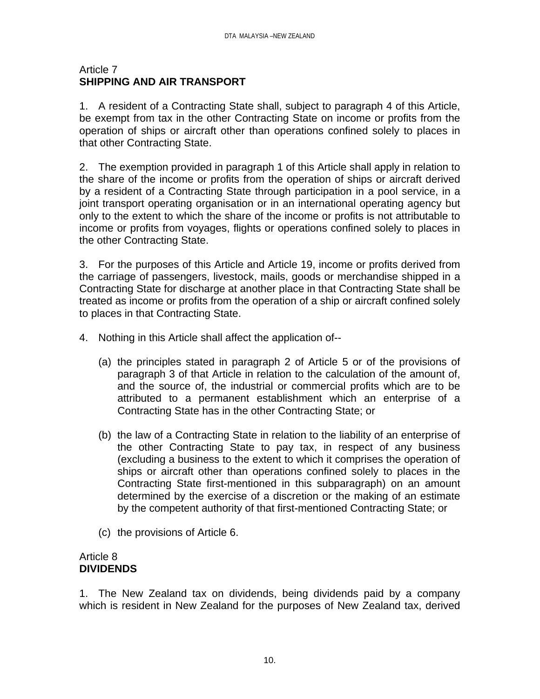#### Article 7 **SHIPPING AND AIR TRANSPORT**

1. A resident of a Contracting State shall, subject to paragraph 4 of this Article, be exempt from tax in the other Contracting State on income or profits from the operation of ships or aircraft other than operations confined solely to places in that other Contracting State.

2. The exemption provided in paragraph 1 of this Article shall apply in relation to the share of the income or profits from the operation of ships or aircraft derived by a resident of a Contracting State through participation in a pool service, in a joint transport operating organisation or in an international operating agency but only to the extent to which the share of the income or profits is not attributable to income or profits from voyages, flights or operations confined solely to places in the other Contracting State.

3. For the purposes of this Article and Article 19, income or profits derived from the carriage of passengers, livestock, mails, goods or merchandise shipped in a Contracting State for discharge at another place in that Contracting State shall be treated as income or profits from the operation of a ship or aircraft confined solely to places in that Contracting State.

- 4. Nothing in this Article shall affect the application of--
	- (a) the principles stated in paragraph 2 of Article 5 or of the provisions of paragraph 3 of that Article in relation to the calculation of the amount of, and the source of, the industrial or commercial profits which are to be attributed to a permanent establishment which an enterprise of a Contracting State has in the other Contracting State; or
	- (b) the law of a Contracting State in relation to the liability of an enterprise of the other Contracting State to pay tax, in respect of any business (excluding a business to the extent to which it comprises the operation of ships or aircraft other than operations confined solely to places in the Contracting State first-mentioned in this subparagraph) on an amount determined by the exercise of a discretion or the making of an estimate by the competent authority of that first-mentioned Contracting State; or
	- (c) the provisions of Article 6.

#### Article 8 **DIVIDENDS**

1. The New Zealand tax on dividends, being dividends paid by a company which is resident in New Zealand for the purposes of New Zealand tax, derived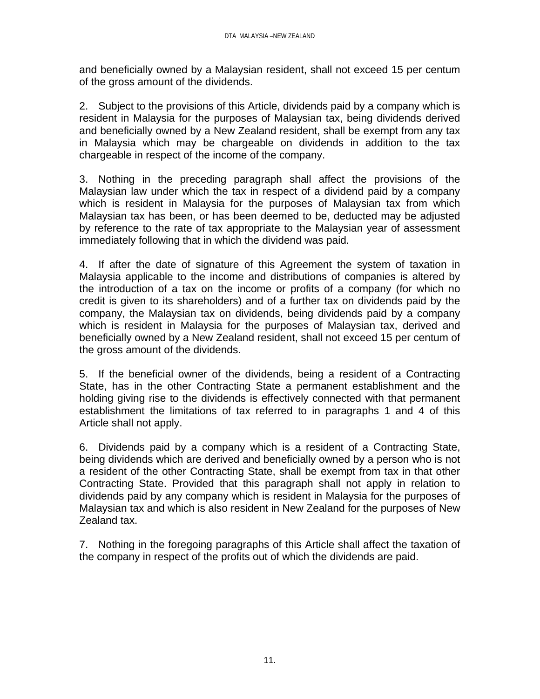and beneficially owned by a Malaysian resident, shall not exceed 15 per centum of the gross amount of the dividends.

2. Subject to the provisions of this Article, dividends paid by a company which is resident in Malaysia for the purposes of Malaysian tax, being dividends derived and beneficially owned by a New Zealand resident, shall be exempt from any tax in Malaysia which may be chargeable on dividends in addition to the tax chargeable in respect of the income of the company.

3. Nothing in the preceding paragraph shall affect the provisions of the Malaysian law under which the tax in respect of a dividend paid by a company which is resident in Malaysia for the purposes of Malaysian tax from which Malaysian tax has been, or has been deemed to be, deducted may be adjusted by reference to the rate of tax appropriate to the Malaysian year of assessment immediately following that in which the dividend was paid.

4. If after the date of signature of this Agreement the system of taxation in Malaysia applicable to the income and distributions of companies is altered by the introduction of a tax on the income or profits of a company (for which no credit is given to its shareholders) and of a further tax on dividends paid by the company, the Malaysian tax on dividends, being dividends paid by a company which is resident in Malaysia for the purposes of Malaysian tax, derived and beneficially owned by a New Zealand resident, shall not exceed 15 per centum of the gross amount of the dividends.

5. If the beneficial owner of the dividends, being a resident of a Contracting State, has in the other Contracting State a permanent establishment and the holding giving rise to the dividends is effectively connected with that permanent establishment the limitations of tax referred to in paragraphs 1 and 4 of this Article shall not apply.

6. Dividends paid by a company which is a resident of a Contracting State, being dividends which are derived and beneficially owned by a person who is not a resident of the other Contracting State, shall be exempt from tax in that other Contracting State. Provided that this paragraph shall not apply in relation to dividends paid by any company which is resident in Malaysia for the purposes of Malaysian tax and which is also resident in New Zealand for the purposes of New Zealand tax.

7. Nothing in the foregoing paragraphs of this Article shall affect the taxation of the company in respect of the profits out of which the dividends are paid.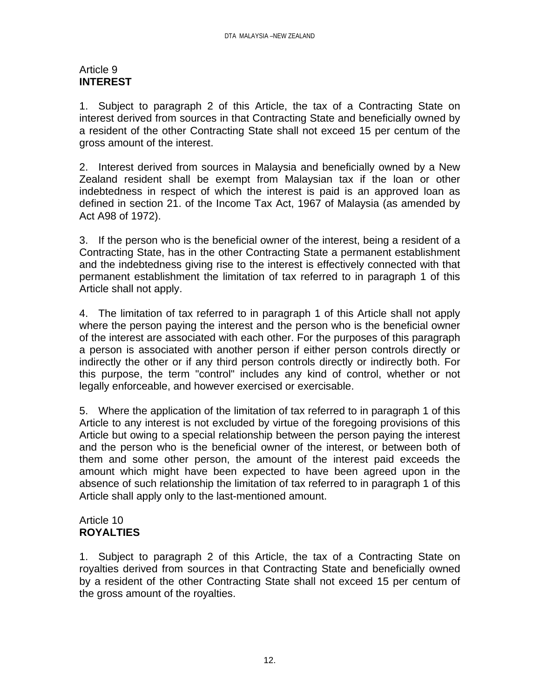### Article 9 **INTEREST**

1. Subject to paragraph 2 of this Article, the tax of a Contracting State on interest derived from sources in that Contracting State and beneficially owned by a resident of the other Contracting State shall not exceed 15 per centum of the gross amount of the interest.

2. Interest derived from sources in Malaysia and beneficially owned by a New Zealand resident shall be exempt from Malaysian tax if the loan or other indebtedness in respect of which the interest is paid is an approved loan as defined in section 21. of the Income Tax Act, 1967 of Malaysia (as amended by Act A98 of 1972).

3. If the person who is the beneficial owner of the interest, being a resident of a Contracting State, has in the other Contracting State a permanent establishment and the indebtedness giving rise to the interest is effectively connected with that permanent establishment the limitation of tax referred to in paragraph 1 of this Article shall not apply.

4. The limitation of tax referred to in paragraph 1 of this Article shall not apply where the person paying the interest and the person who is the beneficial owner of the interest are associated with each other. For the purposes of this paragraph a person is associated with another person if either person controls directly or indirectly the other or if any third person controls directly or indirectly both. For this purpose, the term "control" includes any kind of control, whether or not legally enforceable, and however exercised or exercisable.

5. Where the application of the limitation of tax referred to in paragraph 1 of this Article to any interest is not excluded by virtue of the foregoing provisions of this Article but owing to a special relationship between the person paying the interest and the person who is the beneficial owner of the interest, or between both of them and some other person, the amount of the interest paid exceeds the amount which might have been expected to have been agreed upon in the absence of such relationship the limitation of tax referred to in paragraph 1 of this Article shall apply only to the last-mentioned amount.

# Article 10 **ROYALTIES**

1. Subject to paragraph 2 of this Article, the tax of a Contracting State on royalties derived from sources in that Contracting State and beneficially owned by a resident of the other Contracting State shall not exceed 15 per centum of the gross amount of the royalties.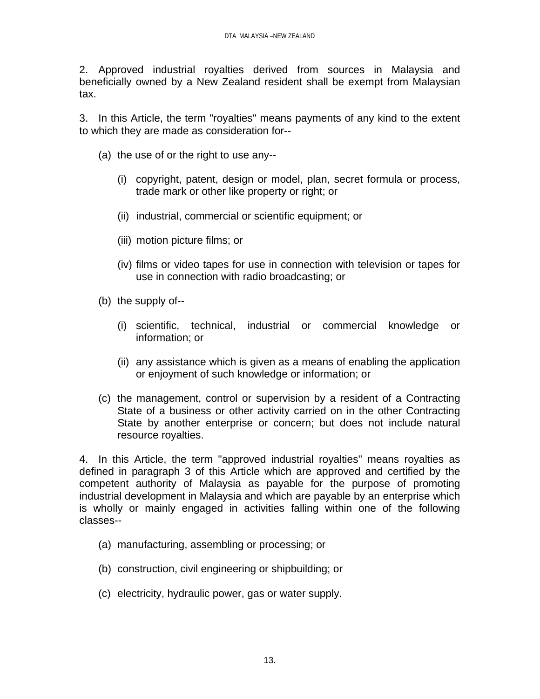2. Approved industrial royalties derived from sources in Malaysia and beneficially owned by a New Zealand resident shall be exempt from Malaysian tax.

3. In this Article, the term "royalties" means payments of any kind to the extent to which they are made as consideration for--

- (a) the use of or the right to use any--
	- (i) copyright, patent, design or model, plan, secret formula or process, trade mark or other like property or right; or
	- (ii) industrial, commercial or scientific equipment; or
	- (iii) motion picture films; or
	- (iv) films or video tapes for use in connection with television or tapes for use in connection with radio broadcasting; or
- (b) the supply of--
	- (i) scientific, technical, industrial or commercial knowledge or information; or
	- (ii) any assistance which is given as a means of enabling the application or enjoyment of such knowledge or information; or
- (c) the management, control or supervision by a resident of a Contracting State of a business or other activity carried on in the other Contracting State by another enterprise or concern; but does not include natural resource royalties.

4. In this Article, the term "approved industrial royalties" means royalties as defined in paragraph 3 of this Article which are approved and certified by the competent authority of Malaysia as payable for the purpose of promoting industrial development in Malaysia and which are payable by an enterprise which is wholly or mainly engaged in activities falling within one of the following classes--

- (a) manufacturing, assembling or processing; or
- (b) construction, civil engineering or shipbuilding; or
- (c) electricity, hydraulic power, gas or water supply.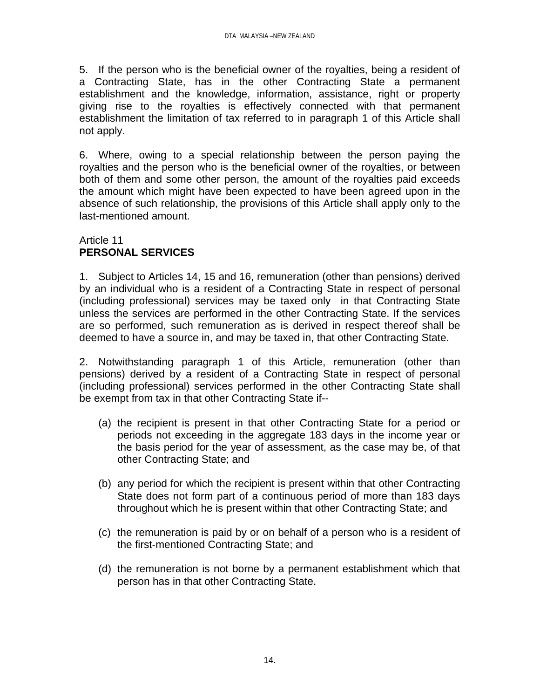5. If the person who is the beneficial owner of the royalties, being a resident of a Contracting State, has in the other Contracting State a permanent establishment and the knowledge, information, assistance, right or property giving rise to the royalties is effectively connected with that permanent establishment the limitation of tax referred to in paragraph 1 of this Article shall not apply.

6. Where, owing to a special relationship between the person paying the royalties and the person who is the beneficial owner of the royalties, or between both of them and some other person, the amount of the royalties paid exceeds the amount which might have been expected to have been agreed upon in the absence of such relationship, the provisions of this Article shall apply only to the last-mentioned amount.

# Article 11 **PERSONAL SERVICES**

1. Subject to Articles 14, 15 and 16, remuneration (other than pensions) derived by an individual who is a resident of a Contracting State in respect of personal (including professional) services may be taxed only in that Contracting State unless the services are performed in the other Contracting State. If the services are so performed, such remuneration as is derived in respect thereof shall be deemed to have a source in, and may be taxed in, that other Contracting State.

2. Notwithstanding paragraph 1 of this Article, remuneration (other than pensions) derived by a resident of a Contracting State in respect of personal (including professional) services performed in the other Contracting State shall be exempt from tax in that other Contracting State if--

- (a) the recipient is present in that other Contracting State for a period or periods not exceeding in the aggregate 183 days in the income year or the basis period for the year of assessment, as the case may be, of that other Contracting State; and
- (b) any period for which the recipient is present within that other Contracting State does not form part of a continuous period of more than 183 days throughout which he is present within that other Contracting State; and
- (c) the remuneration is paid by or on behalf of a person who is a resident of the first-mentioned Contracting State; and
- (d) the remuneration is not borne by a permanent establishment which that person has in that other Contracting State.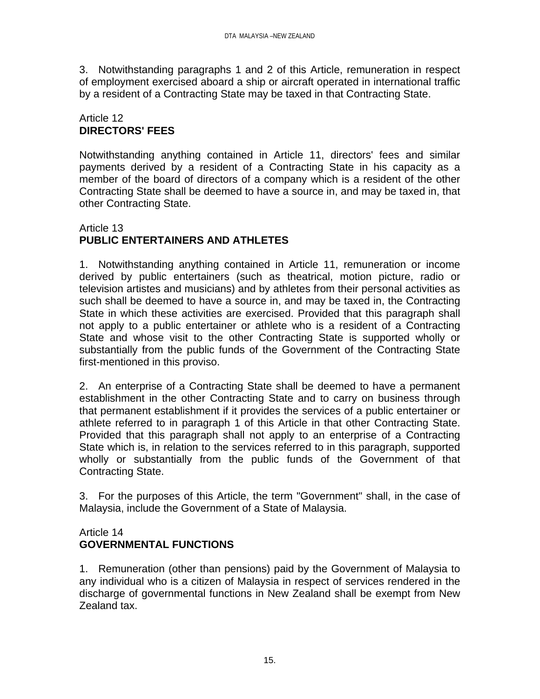3. Notwithstanding paragraphs 1 and 2 of this Article, remuneration in respect of employment exercised aboard a ship or aircraft operated in international traffic by a resident of a Contracting State may be taxed in that Contracting State.

# Article 12 **DIRECTORS' FEES**

Notwithstanding anything contained in Article 11, directors' fees and similar payments derived by a resident of a Contracting State in his capacity as a member of the board of directors of a company which is a resident of the other Contracting State shall be deemed to have a source in, and may be taxed in, that other Contracting State.

# Article 13 **PUBLIC ENTERTAINERS AND ATHLETES**

1. Notwithstanding anything contained in Article 11, remuneration or income derived by public entertainers (such as theatrical, motion picture, radio or television artistes and musicians) and by athletes from their personal activities as such shall be deemed to have a source in, and may be taxed in, the Contracting State in which these activities are exercised. Provided that this paragraph shall not apply to a public entertainer or athlete who is a resident of a Contracting State and whose visit to the other Contracting State is supported wholly or substantially from the public funds of the Government of the Contracting State first-mentioned in this proviso.

2. An enterprise of a Contracting State shall be deemed to have a permanent establishment in the other Contracting State and to carry on business through that permanent establishment if it provides the services of a public entertainer or athlete referred to in paragraph 1 of this Article in that other Contracting State. Provided that this paragraph shall not apply to an enterprise of a Contracting State which is, in relation to the services referred to in this paragraph, supported wholly or substantially from the public funds of the Government of that Contracting State.

3. For the purposes of this Article, the term "Government" shall, in the case of Malaysia, include the Government of a State of Malaysia.

# Article 14 **GOVERNMENTAL FUNCTIONS**

1. Remuneration (other than pensions) paid by the Government of Malaysia to any individual who is a citizen of Malaysia in respect of services rendered in the discharge of governmental functions in New Zealand shall be exempt from New Zealand tax.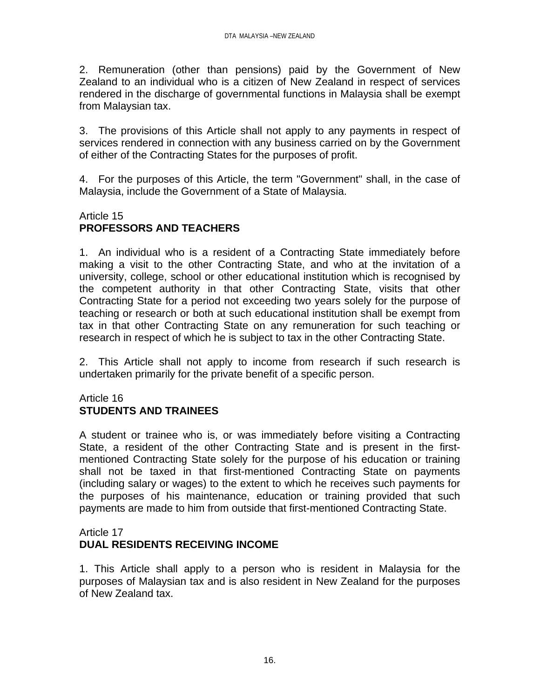2. Remuneration (other than pensions) paid by the Government of New Zealand to an individual who is a citizen of New Zealand in respect of services rendered in the discharge of governmental functions in Malaysia shall be exempt from Malaysian tax.

3. The provisions of this Article shall not apply to any payments in respect of services rendered in connection with any business carried on by the Government of either of the Contracting States for the purposes of profit.

4. For the purposes of this Article, the term "Government" shall, in the case of Malaysia, include the Government of a State of Malaysia.

# Article 15 **PROFESSORS AND TEACHERS**

1. An individual who is a resident of a Contracting State immediately before making a visit to the other Contracting State, and who at the invitation of a university, college, school or other educational institution which is recognised by the competent authority in that other Contracting State, visits that other Contracting State for a period not exceeding two years solely for the purpose of teaching or research or both at such educational institution shall be exempt from tax in that other Contracting State on any remuneration for such teaching or research in respect of which he is subject to tax in the other Contracting State.

2. This Article shall not apply to income from research if such research is undertaken primarily for the private benefit of a specific person.

# Article 16 **STUDENTS AND TRAINEES**

A student or trainee who is, or was immediately before visiting a Contracting State, a resident of the other Contracting State and is present in the firstmentioned Contracting State solely for the purpose of his education or training shall not be taxed in that first-mentioned Contracting State on payments (including salary or wages) to the extent to which he receives such payments for the purposes of his maintenance, education or training provided that such payments are made to him from outside that first-mentioned Contracting State.

# Article 17 **DUAL RESIDENTS RECEIVING INCOME**

1. This Article shall apply to a person who is resident in Malaysia for the purposes of Malaysian tax and is also resident in New Zealand for the purposes of New Zealand tax.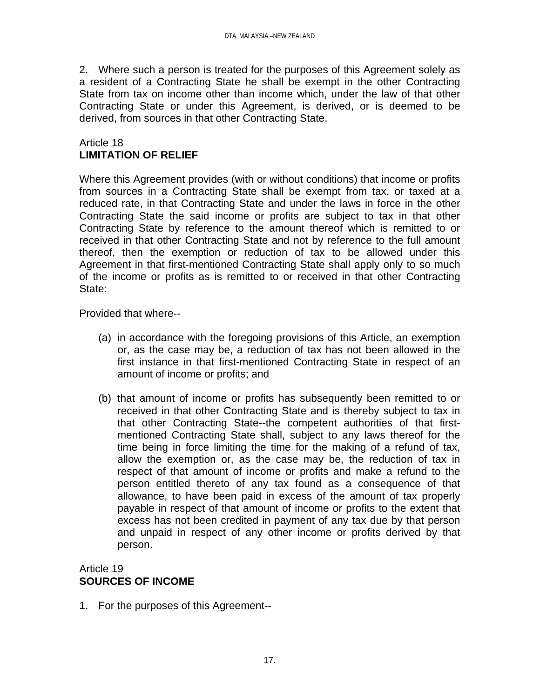2. Where such a person is treated for the purposes of this Agreement solely as a resident of a Contracting State he shall be exempt in the other Contracting State from tax on income other than income which, under the law of that other Contracting State or under this Agreement, is derived, or is deemed to be derived, from sources in that other Contracting State.

### Article 18 **LIMITATION OF RELIEF**

Where this Agreement provides (with or without conditions) that income or profits from sources in a Contracting State shall be exempt from tax, or taxed at a reduced rate, in that Contracting State and under the laws in force in the other Contracting State the said income or profits are subject to tax in that other Contracting State by reference to the amount thereof which is remitted to or received in that other Contracting State and not by reference to the full amount thereof, then the exemption or reduction of tax to be allowed under this Agreement in that first-mentioned Contracting State shall apply only to so much of the income or profits as is remitted to or received in that other Contracting State:

Provided that where--

- (a) in accordance with the foregoing provisions of this Article, an exemption or, as the case may be, a reduction of tax has not been allowed in the first instance in that first-mentioned Contracting State in respect of an amount of income or profits; and
- (b) that amount of income or profits has subsequently been remitted to or received in that other Contracting State and is thereby subject to tax in that other Contracting State--the competent authorities of that firstmentioned Contracting State shall, subject to any laws thereof for the time being in force limiting the time for the making of a refund of tax, allow the exemption or, as the case may be, the reduction of tax in respect of that amount of income or profits and make a refund to the person entitled thereto of any tax found as a consequence of that allowance, to have been paid in excess of the amount of tax properly payable in respect of that amount of income or profits to the extent that excess has not been credited in payment of any tax due by that person and unpaid in respect of any other income or profits derived by that person.

# Article 19 **SOURCES OF INCOME**

1. For the purposes of this Agreement--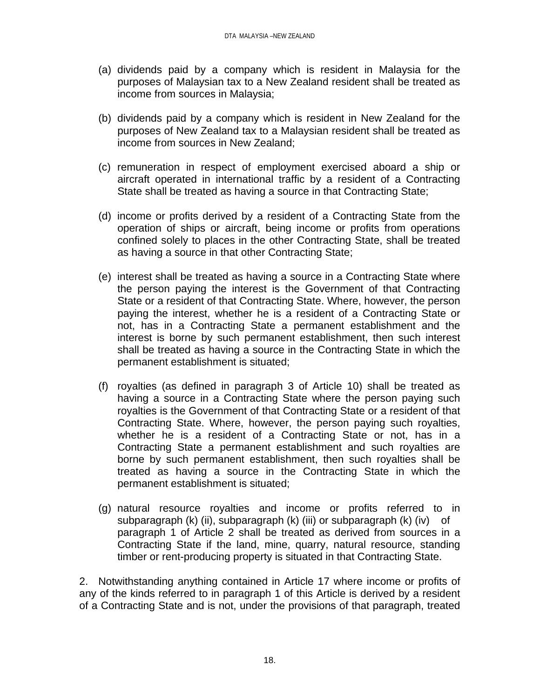- (a) dividends paid by a company which is resident in Malaysia for the purposes of Malaysian tax to a New Zealand resident shall be treated as income from sources in Malaysia;
- (b) dividends paid by a company which is resident in New Zealand for the purposes of New Zealand tax to a Malaysian resident shall be treated as income from sources in New Zealand;
- (c) remuneration in respect of employment exercised aboard a ship or aircraft operated in international traffic by a resident of a Contracting State shall be treated as having a source in that Contracting State;
- (d) income or profits derived by a resident of a Contracting State from the operation of ships or aircraft, being income or profits from operations confined solely to places in the other Contracting State, shall be treated as having a source in that other Contracting State;
- (e) interest shall be treated as having a source in a Contracting State where the person paying the interest is the Government of that Contracting State or a resident of that Contracting State. Where, however, the person paying the interest, whether he is a resident of a Contracting State or not, has in a Contracting State a permanent establishment and the interest is borne by such permanent establishment, then such interest shall be treated as having a source in the Contracting State in which the permanent establishment is situated;
- (f) royalties (as defined in paragraph 3 of Article 10) shall be treated as having a source in a Contracting State where the person paying such royalties is the Government of that Contracting State or a resident of that Contracting State. Where, however, the person paying such royalties, whether he is a resident of a Contracting State or not, has in a Contracting State a permanent establishment and such royalties are borne by such permanent establishment, then such royalties shall be treated as having a source in the Contracting State in which the permanent establishment is situated;
- (g) natural resource royalties and income or profits referred to in subparagraph (k) (ii), subparagraph (k) (iii) or subparagraph (k) (iv) of paragraph 1 of Article 2 shall be treated as derived from sources in a Contracting State if the land, mine, quarry, natural resource, standing timber or rent-producing property is situated in that Contracting State.

2. Notwithstanding anything contained in Article 17 where income or profits of any of the kinds referred to in paragraph 1 of this Article is derived by a resident of a Contracting State and is not, under the provisions of that paragraph, treated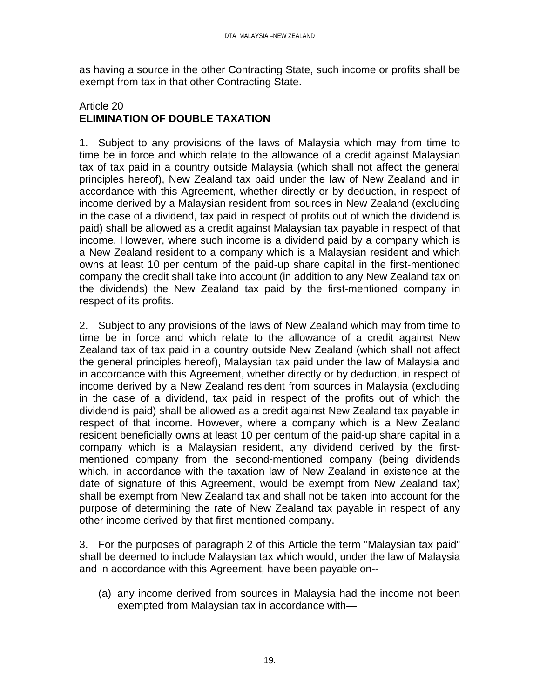as having a source in the other Contracting State, such income or profits shall be exempt from tax in that other Contracting State.

#### Article 20 **ELIMINATION OF DOUBLE TAXATION**

1. Subject to any provisions of the laws of Malaysia which may from time to time be in force and which relate to the allowance of a credit against Malaysian tax of tax paid in a country outside Malaysia (which shall not affect the general principles hereof), New Zealand tax paid under the law of New Zealand and in accordance with this Agreement, whether directly or by deduction, in respect of income derived by a Malaysian resident from sources in New Zealand (excluding in the case of a dividend, tax paid in respect of profits out of which the dividend is paid) shall be allowed as a credit against Malaysian tax payable in respect of that income. However, where such income is a dividend paid by a company which is a New Zealand resident to a company which is a Malaysian resident and which owns at least 10 per centum of the paid-up share capital in the first-mentioned company the credit shall take into account (in addition to any New Zealand tax on the dividends) the New Zealand tax paid by the first-mentioned company in respect of its profits.

2. Subject to any provisions of the laws of New Zealand which may from time to time be in force and which relate to the allowance of a credit against New Zealand tax of tax paid in a country outside New Zealand (which shall not affect the general principles hereof), Malaysian tax paid under the law of Malaysia and in accordance with this Agreement, whether directly or by deduction, in respect of income derived by a New Zealand resident from sources in Malaysia (excluding in the case of a dividend, tax paid in respect of the profits out of which the dividend is paid) shall be allowed as a credit against New Zealand tax payable in respect of that income. However, where a company which is a New Zealand resident beneficially owns at least 10 per centum of the paid-up share capital in a company which is a Malaysian resident, any dividend derived by the firstmentioned company from the second-mentioned company (being dividends which, in accordance with the taxation law of New Zealand in existence at the date of signature of this Agreement, would be exempt from New Zealand tax) shall be exempt from New Zealand tax and shall not be taken into account for the purpose of determining the rate of New Zealand tax payable in respect of any other income derived by that first-mentioned company.

3. For the purposes of paragraph 2 of this Article the term "Malaysian tax paid" shall be deemed to include Malaysian tax which would, under the law of Malaysia and in accordance with this Agreement, have been payable on--

(a) any income derived from sources in Malaysia had the income not been exempted from Malaysian tax in accordance with—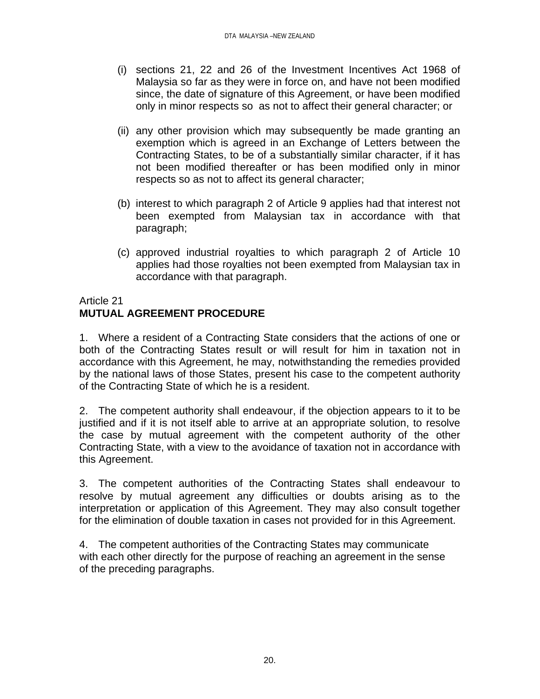- (i) sections 21, 22 and 26 of the Investment Incentives Act 1968 of Malaysia so far as they were in force on, and have not been modified since, the date of signature of this Agreement, or have been modified only in minor respects so as not to affect their general character; or
- (ii) any other provision which may subsequently be made granting an exemption which is agreed in an Exchange of Letters between the Contracting States, to be of a substantially similar character, if it has not been modified thereafter or has been modified only in minor respects so as not to affect its general character;
- (b) interest to which paragraph 2 of Article 9 applies had that interest not been exempted from Malaysian tax in accordance with that paragraph;
- (c) approved industrial royalties to which paragraph 2 of Article 10 applies had those royalties not been exempted from Malaysian tax in accordance with that paragraph.

# Article 21

# **MUTUAL AGREEMENT PROCEDURE**

1. Where a resident of a Contracting State considers that the actions of one or both of the Contracting States result or will result for him in taxation not in accordance with this Agreement, he may, notwithstanding the remedies provided by the national laws of those States, present his case to the competent authority of the Contracting State of which he is a resident.

2. The competent authority shall endeavour, if the objection appears to it to be justified and if it is not itself able to arrive at an appropriate solution, to resolve the case by mutual agreement with the competent authority of the other Contracting State, with a view to the avoidance of taxation not in accordance with this Agreement.

3. The competent authorities of the Contracting States shall endeavour to resolve by mutual agreement any difficulties or doubts arising as to the interpretation or application of this Agreement. They may also consult together for the elimination of double taxation in cases not provided for in this Agreement.

4. The competent authorities of the Contracting States may communicate with each other directly for the purpose of reaching an agreement in the sense of the preceding paragraphs.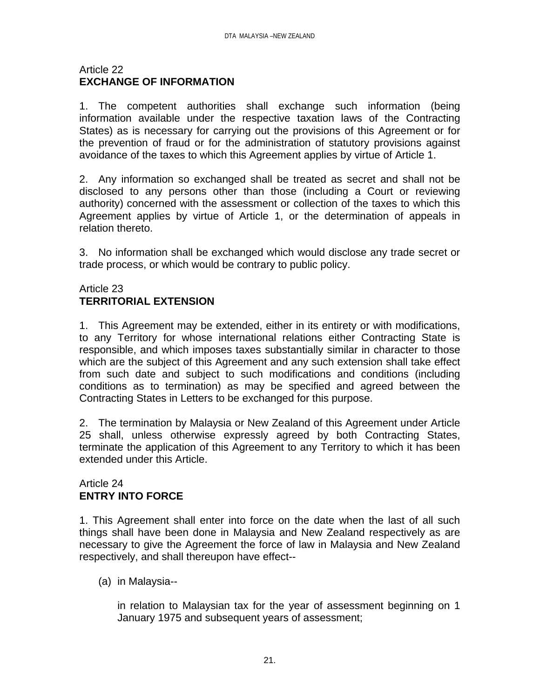### Article 22 **EXCHANGE OF INFORMATION**

1. The competent authorities shall exchange such information (being information available under the respective taxation laws of the Contracting States) as is necessary for carrying out the provisions of this Agreement or for the prevention of fraud or for the administration of statutory provisions against avoidance of the taxes to which this Agreement applies by virtue of Article 1.

2. Any information so exchanged shall be treated as secret and shall not be disclosed to any persons other than those (including a Court or reviewing authority) concerned with the assessment or collection of the taxes to which this Agreement applies by virtue of Article 1, or the determination of appeals in relation thereto.

3. No information shall be exchanged which would disclose any trade secret or trade process, or which would be contrary to public policy.

# Article 23 **TERRITORIAL EXTENSION**

1. This Agreement may be extended, either in its entirety or with modifications, to any Territory for whose international relations either Contracting State is responsible, and which imposes taxes substantially similar in character to those which are the subject of this Agreement and any such extension shall take effect from such date and subject to such modifications and conditions (including conditions as to termination) as may be specified and agreed between the Contracting States in Letters to be exchanged for this purpose.

2. The termination by Malaysia or New Zealand of this Agreement under Article 25 shall, unless otherwise expressly agreed by both Contracting States, terminate the application of this Agreement to any Territory to which it has been extended under this Article.

# Article 24 **ENTRY INTO FORCE**

1. This Agreement shall enter into force on the date when the last of all such things shall have been done in Malaysia and New Zealand respectively as are necessary to give the Agreement the force of law in Malaysia and New Zealand respectively, and shall thereupon have effect--

(a) in Malaysia--

in relation to Malaysian tax for the year of assessment beginning on 1 January 1975 and subsequent years of assessment;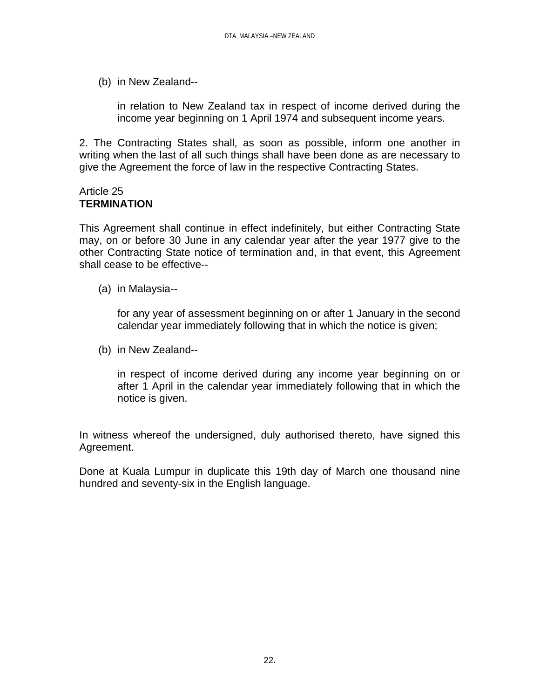(b) in New Zealand--

in relation to New Zealand tax in respect of income derived during the income year beginning on 1 April 1974 and subsequent income years.

2. The Contracting States shall, as soon as possible, inform one another in writing when the last of all such things shall have been done as are necessary to give the Agreement the force of law in the respective Contracting States.

### Article 25 **TERMINATION**

This Agreement shall continue in effect indefinitely, but either Contracting State may, on or before 30 June in any calendar year after the year 1977 give to the other Contracting State notice of termination and, in that event, this Agreement shall cease to be effective--

(a) in Malaysia--

for any year of assessment beginning on or after 1 January in the second calendar year immediately following that in which the notice is given;

(b) in New Zealand--

in respect of income derived during any income year beginning on or after 1 April in the calendar year immediately following that in which the notice is given.

In witness whereof the undersigned, duly authorised thereto, have signed this Agreement.

Done at Kuala Lumpur in duplicate this 19th day of March one thousand nine hundred and seventy-six in the English language.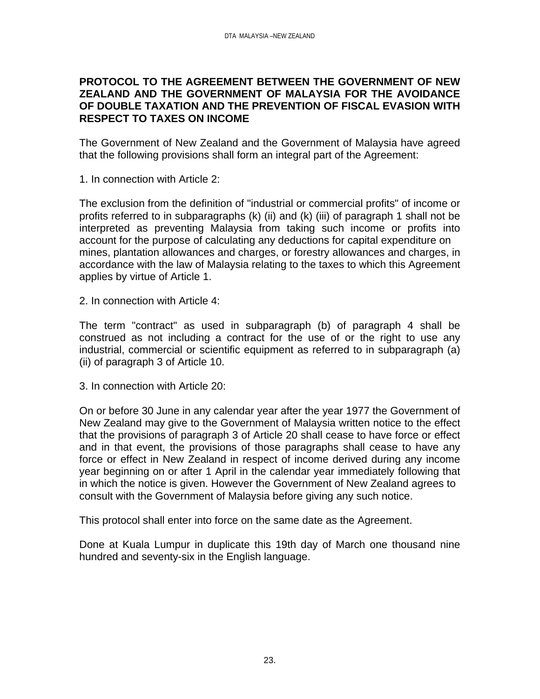#### **PROTOCOL TO THE AGREEMENT BETWEEN THE GOVERNMENT OF NEW ZEALAND AND THE GOVERNMENT OF MALAYSIA FOR THE AVOIDANCE OF DOUBLE TAXATION AND THE PREVENTION OF FISCAL EVASION WITH RESPECT TO TAXES ON INCOME**

The Government of New Zealand and the Government of Malaysia have agreed that the following provisions shall form an integral part of the Agreement:

1. In connection with Article 2:

The exclusion from the definition of "industrial or commercial profits" of income or profits referred to in subparagraphs (k) (ii) and (k) (iii) of paragraph 1 shall not be interpreted as preventing Malaysia from taking such income or profits into account for the purpose of calculating any deductions for capital expenditure on mines, plantation allowances and charges, or forestry allowances and charges, in accordance with the law of Malaysia relating to the taxes to which this Agreement applies by virtue of Article 1.

2. In connection with Article 4:

The term "contract" as used in subparagraph (b) of paragraph 4 shall be construed as not including a contract for the use of or the right to use any industrial, commercial or scientific equipment as referred to in subparagraph (a) (ii) of paragraph 3 of Article 10.

3. In connection with Article 20:

On or before 30 June in any calendar year after the year 1977 the Government of New Zealand may give to the Government of Malaysia written notice to the effect that the provisions of paragraph 3 of Article 20 shall cease to have force or effect and in that event, the provisions of those paragraphs shall cease to have any force or effect in New Zealand in respect of income derived during any income year beginning on or after 1 April in the calendar year immediately following that in which the notice is given. However the Government of New Zealand agrees to consult with the Government of Malaysia before giving any such notice.

This protocol shall enter into force on the same date as the Agreement.

Done at Kuala Lumpur in duplicate this 19th day of March one thousand nine hundred and seventy-six in the English language.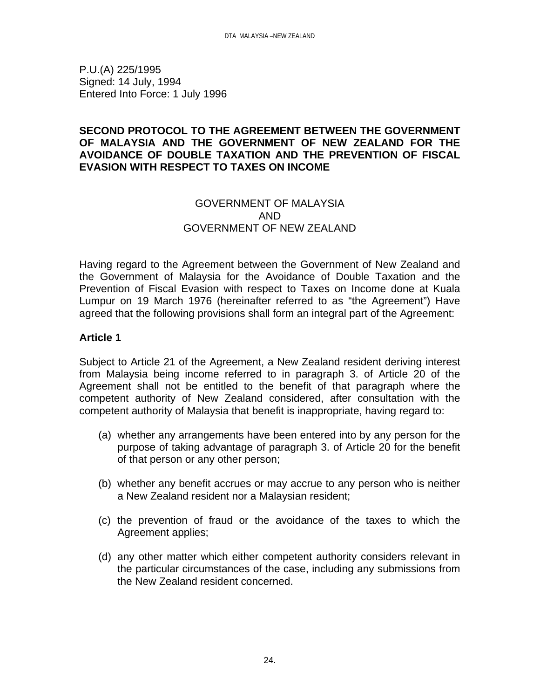P.U.(A) 225/1995 Signed: 14 July, 1994 Entered Into Force: 1 July 1996

### **SECOND PROTOCOL TO THE AGREEMENT BETWEEN THE GOVERNMENT OF MALAYSIA AND THE GOVERNMENT OF NEW ZEALAND FOR THE AVOIDANCE OF DOUBLE TAXATION AND THE PREVENTION OF FISCAL EVASION WITH RESPECT TO TAXES ON INCOME**

# GOVERNMENT OF MALAYSIA AND GOVERNMENT OF NEW ZEALAND

Having regard to the Agreement between the Government of New Zealand and the Government of Malaysia for the Avoidance of Double Taxation and the Prevention of Fiscal Evasion with respect to Taxes on Income done at Kuala Lumpur on 19 March 1976 (hereinafter referred to as "the Agreement") Have agreed that the following provisions shall form an integral part of the Agreement:

# **Article 1**

Subject to Article 21 of the Agreement, a New Zealand resident deriving interest from Malaysia being income referred to in paragraph 3. of Article 20 of the Agreement shall not be entitled to the benefit of that paragraph where the competent authority of New Zealand considered, after consultation with the competent authority of Malaysia that benefit is inappropriate, having regard to:

- (a) whether any arrangements have been entered into by any person for the purpose of taking advantage of paragraph 3. of Article 20 for the benefit of that person or any other person;
- (b) whether any benefit accrues or may accrue to any person who is neither a New Zealand resident nor a Malaysian resident;
- (c) the prevention of fraud or the avoidance of the taxes to which the Agreement applies;
- (d) any other matter which either competent authority considers relevant in the particular circumstances of the case, including any submissions from the New Zealand resident concerned.